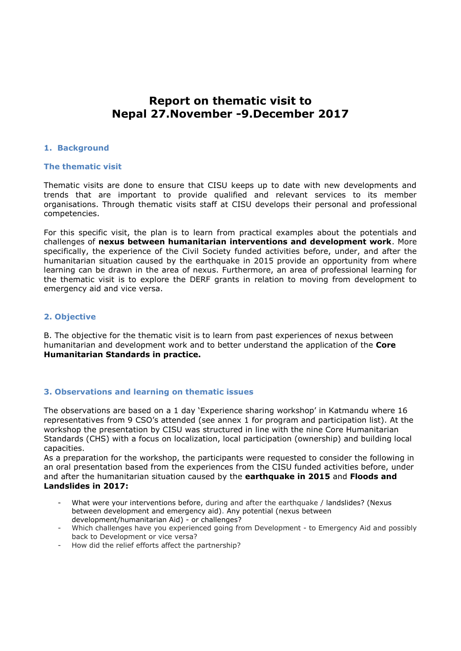# **Report on thematic visit to Nepal 27.November -9.December 2017**

## **1. Background**

#### **The thematic visit**

Thematic visits are done to ensure that CISU keeps up to date with new developments and trends that are important to provide qualified and relevant services to its member organisations. Through thematic visits staff at CISU develops their personal and professional competencies.

For this specific visit, the plan is to learn from practical examples about the potentials and challenges of **nexus between humanitarian interventions and development work**. More specifically, the experience of the Civil Society funded activities before, under, and after the humanitarian situation caused by the earthquake in 2015 provide an opportunity from where learning can be drawn in the area of nexus. Furthermore, an area of professional learning for the thematic visit is to explore the DERF grants in relation to moving from development to emergency aid and vice versa.

## **2. Objective**

B. The objective for the thematic visit is to learn from past experiences of nexus between humanitarian and development work and to better understand the application of the **Core Humanitarian Standards in practice.** 

## **3. Observations and learning on thematic issues**

The observations are based on a 1 day 'Experience sharing workshop' in Katmandu where 16 representatives from 9 CSO's attended (see annex 1 for program and participation list). At the workshop the presentation by CISU was structured in line with the nine Core Humanitarian Standards (CHS) with a focus on localization, local participation (ownership) and building local capacities.

As a preparation for the workshop, the participants were requested to consider the following in an oral presentation based from the experiences from the CISU funded activities before, under and after the humanitarian situation caused by the **earthquake in 2015** and **Floods and Landslides in 2017:** 

- What were your interventions before, during and after the earthquake / landslides? (Nexus between development and emergency aid). Any potential (nexus between development/humanitarian Aid) - or challenges?
- Which challenges have you experienced going from Development to Emergency Aid and possibly back to Development or vice versa?
- How did the relief efforts affect the partnership?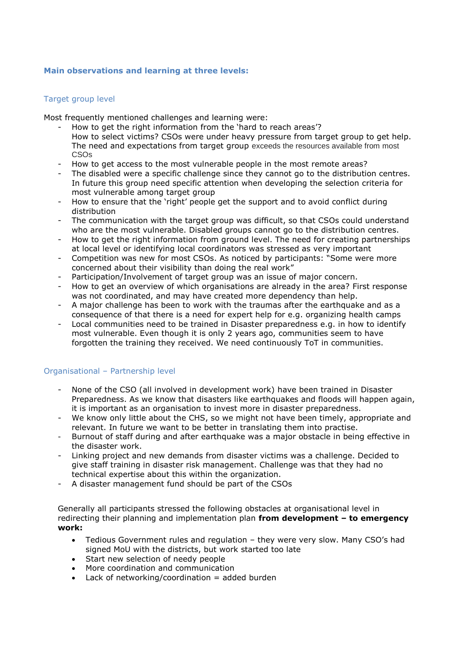# **Main observations and learning at three levels:**

# Target group level

Most frequently mentioned challenges and learning were:

- How to get the right information from the 'hard to reach areas'? How to select victims? CSOs were under heavy pressure from target group to get help. The need and expectations from target group exceeds the resources available from most CSOs
- How to get access to the most vulnerable people in the most remote areas?
- The disabled were a specific challenge since they cannot go to the distribution centres. In future this group need specific attention when developing the selection criteria for most vulnerable among target group
- How to ensure that the 'right' people get the support and to avoid conflict during distribution
- The communication with the target group was difficult, so that CSOs could understand who are the most vulnerable. Disabled groups cannot go to the distribution centres.
- How to get the right information from ground level. The need for creating partnerships at local level or identifying local coordinators was stressed as very important
- Competition was new for most CSOs. As noticed by participants: "Some were more concerned about their visibility than doing the real work"
- Participation/Involvement of target group was an issue of major concern.
- How to get an overview of which organisations are already in the area? First response was not coordinated, and may have created more dependency than help.
- A major challenge has been to work with the traumas after the earthquake and as a consequence of that there is a need for expert help for e.g. organizing health camps
- Local communities need to be trained in Disaster preparedness e.g. in how to identify most vulnerable. Even though it is only 2 years ago, communities seem to have forgotten the training they received. We need continuously ToT in communities.

## Organisational – Partnership level

- None of the CSO (all involved in development work) have been trained in Disaster Preparedness. As we know that disasters like earthquakes and floods will happen again, it is important as an organisation to invest more in disaster preparedness.
- We know only little about the CHS, so we might not have been timely, appropriate and relevant. In future we want to be better in translating them into practise.
- Burnout of staff during and after earthquake was a major obstacle in being effective in the disaster work.
- Linking project and new demands from disaster victims was a challenge. Decided to give staff training in disaster risk management. Challenge was that they had no technical expertise about this within the organization.
- A disaster management fund should be part of the CSOs

Generally all participants stressed the following obstacles at organisational level in redirecting their planning and implementation plan **from development – to emergency work:**

- Tedious Government rules and regulation they were very slow. Many CSO's had signed MoU with the districts, but work started too late
- Start new selection of needy people
- More coordination and communication
- Lack of networking/coordination  $=$  added burden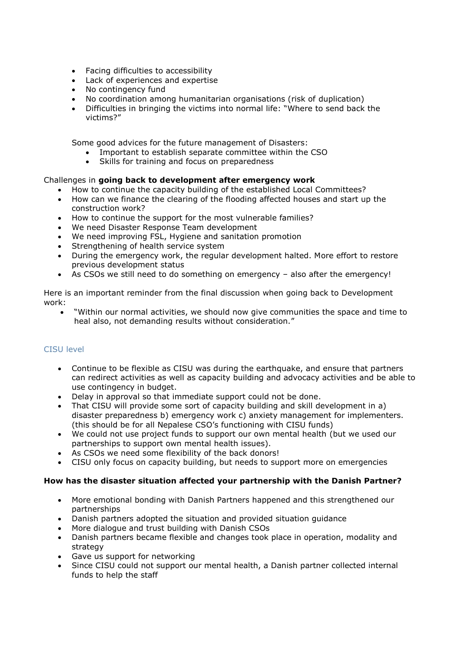- Facing difficulties to accessibility
- Lack of experiences and expertise
- No contingency fund
- No coordination among humanitarian organisations (risk of duplication)
- Difficulties in bringing the victims into normal life: "Where to send back the victims?"

Some good advices for the future management of Disasters:

- Important to establish separate committee within the CSO
- Skills for training and focus on preparedness

# Challenges in **going back to development after emergency work**

- How to continue the capacity building of the established Local Committees?
- How can we finance the clearing of the flooding affected houses and start up the construction work?
- How to continue the support for the most vulnerable families?
- We need Disaster Response Team development
- We need improving FSL, Hygiene and sanitation promotion
- Strengthening of health service system
- During the emergency work, the regular development halted. More effort to restore previous development status
- As CSOs we still need to do something on emergency also after the emergency!

Here is an important reminder from the final discussion when going back to Development work:

 "Within our normal activities, we should now give communities the space and time to heal also, not demanding results without consideration."

# CISU level

- Continue to be flexible as CISU was during the earthquake, and ensure that partners can redirect activities as well as capacity building and advocacy activities and be able to use contingency in budget.
- Delay in approval so that immediate support could not be done.
- That CISU will provide some sort of capacity building and skill development in a) disaster preparedness b) emergency work c) anxiety management for implementers. (this should be for all Nepalese CSO's functioning with CISU funds)
- We could not use project funds to support our own mental health (but we used our partnerships to support own mental health issues).
- As CSOs we need some flexibility of the back donors!
- CISU only focus on capacity building, but needs to support more on emergencies

## **How has the disaster situation affected your partnership with the Danish Partner?**

- More emotional bonding with Danish Partners happened and this strengthened our partnerships
- Danish partners adopted the situation and provided situation guidance
- More dialogue and trust building with Danish CSOs
- Danish partners became flexible and changes took place in operation, modality and strategy
- Gave us support for networking
- Since CISU could not support our mental health, a Danish partner collected internal funds to help the staff